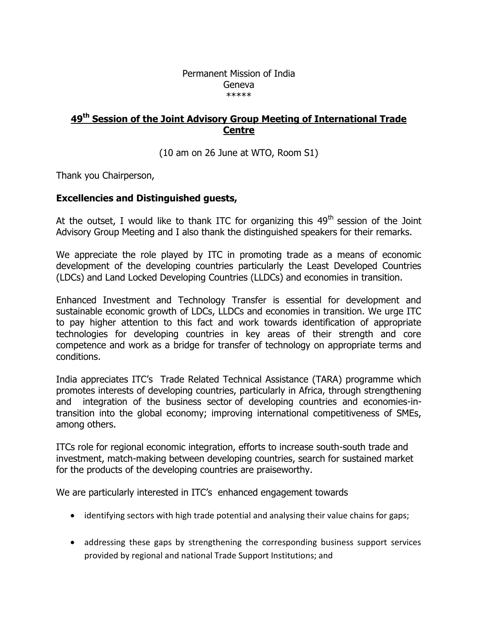Permanent Mission of India Geneva \*\*\*\*\*

## **49th Session of the Joint Advisory Group Meeting of International Trade Centre**

(10 am on 26 June at WTO, Room S1)

Thank you Chairperson,

## **Excellencies and Distinguished guests,**

At the outset, I would like to thank ITC for organizing this  $49<sup>th</sup>$  session of the Joint Advisory Group Meeting and I also thank the distinguished speakers for their remarks.

We appreciate the role played by ITC in promoting trade as a means of economic development of the developing countries particularly the Least Developed Countries (LDCs) and Land Locked Developing Countries (LLDCs) and economies in transition.

Enhanced Investment and Technology Transfer is essential for development and sustainable economic growth of LDCs, LLDCs and economies in transition. We urge ITC to pay higher attention to this fact and work towards identification of appropriate technologies for developing countries in key areas of their strength and core competence and work as a bridge for transfer of technology on appropriate terms and conditions.

India appreciates ITC's Trade Related Technical Assistance (TARA) programme which promotes interests of developing countries, particularly in Africa, through strengthening and integration of the business sector of developing countries and economies-intransition into the global economy; improving international competitiveness of SMEs, among others.

ITCs role for regional economic integration, efforts to increase south-south trade and investment, match-making between developing countries, search for sustained market for the products of the developing countries are praiseworthy.

We are particularly interested in ITC's enhanced engagement towards

- identifying sectors with high trade potential and analysing their value chains for gaps;
- addressing these gaps by strengthening the corresponding business support services provided by regional and national Trade Support Institutions; and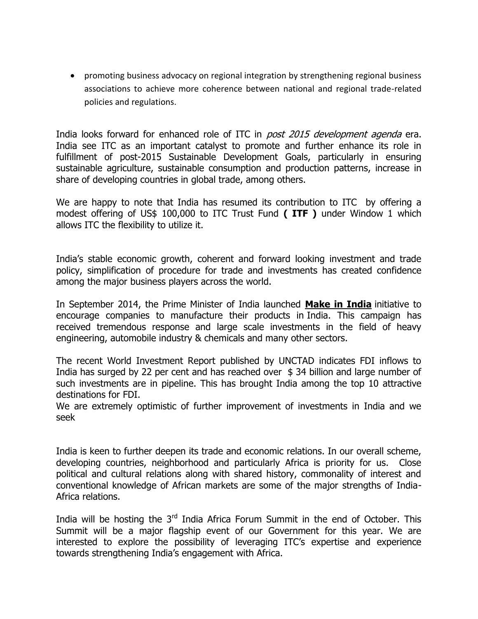promoting business advocacy on regional integration by strengthening regional business associations to achieve more coherence between national and regional trade-related policies and regulations.

India looks forward for enhanced role of ITC in *post 2015 development agenda* era. India see ITC as an important catalyst to promote and further enhance its role in fulfillment of post-2015 Sustainable Development Goals, particularly in ensuring sustainable agriculture, sustainable consumption and production patterns, increase in share of developing countries in global trade, among others.

We are happy to note that India has resumed its contribution to ITC by offering a modest offering of US\$ 100,000 to ITC Trust Fund **( ITF )** under Window 1 which allows ITC the flexibility to utilize it.

India's stable economic growth, coherent and forward looking investment and trade policy, simplification of procedure for trade and investments has created confidence among the major business players across the world.

In September 2014, the Prime Minister of India launched **Make in India** initiative to encourage companies to manufacture their products in India. This campaign has received tremendous response and large scale investments in the field of heavy engineering, automobile industry & chemicals and many other sectors.

The recent World Investment Report published by UNCTAD indicates FDI inflows to India has surged by 22 per cent and has reached over \$ 34 billion and large number of such investments are in pipeline. This has brought India among the top 10 attractive destinations for FDI.

We are extremely optimistic of further improvement of investments in India and we seek

India is keen to further deepen its trade and economic relations. In our overall scheme, developing countries, neighborhood and particularly Africa is priority for us. Close political and cultural relations along with shared history, commonality of interest and conventional knowledge of African markets are some of the major strengths of India-Africa relations.

India will be hosting the  $3<sup>rd</sup>$  India Africa Forum Summit in the end of October. This Summit will be a major flagship event of our Government for this year. We are interested to explore the possibility of leveraging ITC's expertise and experience towards strengthening India's engagement with Africa.